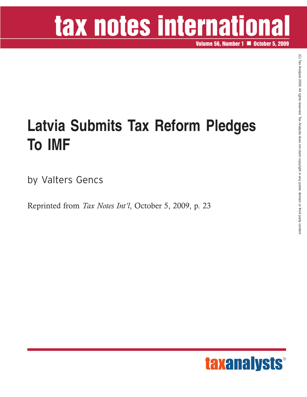# tax notes international

**Volume 56, Number 1 <b>OCTOBER 15, 2009** 

### **Latvia Submits Tax Reform Pledges To IMF**

by Valters Gencs

Reprinted from *Tax Notes Int'l*, October 5, 2009, p. 23

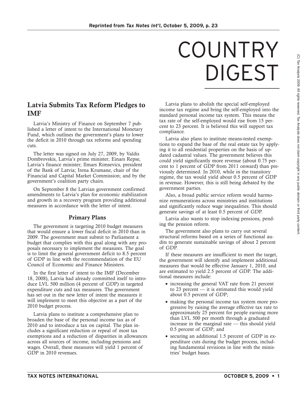## COUNTRY DIGEST

### **Latvia Submits Tax Reform Pledges to IMF**

Latvia's Ministry of Finance on September 7 published a letter of intent to the International Monetary Fund, which outlines the government's plans to lower the deficit in 2010 through tax reforms and spending cuts.

The letter was signed on July 27, 2009, by Valdis Dombrovskis, Latvia's prime minister; Einars Repse, Latvia's finance minister; Ilmars Rimsevics, president of the Bank of Latvia; Irena Krumane, chair of the Financial and Capital Market Commission; and by the government's coalition party chairs.

On September 8 the Latvian government confirmed amendments to Latvia's plan for economic stabilization and growth in a recovery program providing additional measures in accordance with the letter of intent.

#### **Primary Plans**

The government is targeting 2010 budget measures that would ensure a lower fiscal deficit in 2010 than in 2009. The government must submit to Parliament a budget that complies with this goal along with any proposals necessary to implement the measures. The goal is to limit the general government deficit to 8.5 percent of GDP in line with the recommendation of the EU Council of Economic and Finance Ministers.

In the first letter of intent to the IMF (December 18, 2008), Latvia had already committed itself to introduce LVL 500 million (4 percent of GDP) in targeted expenditure cuts and tax measures. The government has set out in the new letter of intent the measures it will implement to meet this objective as a part of the 2010 budget process.

Latvia plans to institute a comprehensive plan to broaden the base of the personal income tax as of 2010 and to introduce a tax on capital. The plan includes a significant reduction or repeal of most tax exemptions and a reduction of disparities in allowances across all sources of income, including pensions and wages. Overall, these measures will yield 1 percent of GDP in 2010 revenues.

Latvia plans to abolish the special self-employed income tax regime and bring the self-employed into the standard personal income tax system. This means the tax rate of the self-employed would rise from 15 percent to 23 percent. It is believed this will support tax compliance.

Latvia also plans to institute means-tested exemptions to expand the base of the real estate tax by applying it to all residential properties on the basis of updated cadastral values. The government believes this could yield significantly more revenue (about 0.75 percent to 1 percent of GDP from 2011 onward) than previously determined. In 2010, while in the transitory regime, the tax would yield about 0.5 percent of GDP in revenue. However, this is still being debated by the government parties.

Also, a broad public service reform would harmonize remunerations across ministries and institutions and significantly reduce wage inequalities. This should generate savings of at least 0.5 percent of GDP.

Latvia also wants to stop indexing pensions, pending the pension reform.

The government also plans to carry out several structural reforms based on a series of functional audits to generate sustainable savings of about 2 percent of GDP.

If these measures are insufficient to meet the target, the government will identify and implement additional measures that would be effective January 1, 2010, and are estimated to yield 2.5 percent of GDP. The additional measures include:

- increasing the general VAT rate from 21 percent to 23 percent — it is estimated this would yield about 0.5 percent of GDP;
- making the personal income tax system more progressive by raising the average effective tax rate to approximately 25 percent for people earning more than LVL 500 per month through a graduated increase in the marginal rate — this should yield 0.5 percent of GDP; and
- securing an additional 1.5 percent of GDP in expenditure cuts during the budget process, including fundamental revisions in line with the ministries' budget bases.

 $\widehat{\Omega}$  TaxAnalysts

2009.

All rights

reserved.

Tax